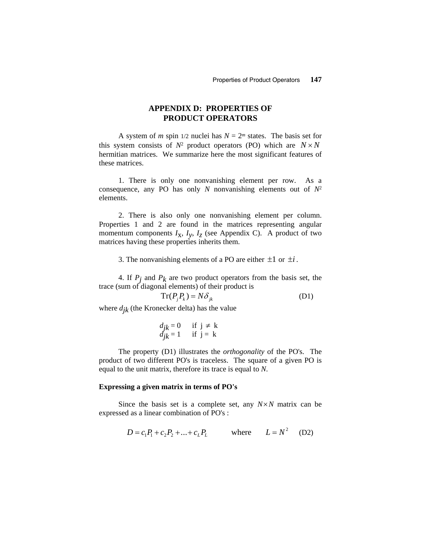## **APPENDIX D: PROPERTIES OF PRODUCT OPERATORS**

A system of *m* spin 1/2 nuclei has  $N = 2^m$  states. The basis set for this system consists of  $N^2$  product operators (PO) which are  $N \times N$ hermitian matrices. We summarize here the most significant features of these matrices.

1. There is only one nonvanishing element per row. As a consequence, any PO has only *N* nonvanishing elements out of *N*<sup>2</sup> elements.

2. There is also only one nonvanishing element per column. Properties 1 and 2 are found in the matrices representing angular momentum components  $I_X$ ,  $I_Y$ ,  $I_Z$  (see Appendix C). A product of two matrices having these properties inherits them.

3. The nonvanishing elements of a PO are either  $\pm 1$  or  $\pm i$ .

4. If  $P_j$  and  $P_k$  are two product operators from the basis set, the trace (sum of diagonal elements) of their product is

$$
Tr(P_j P_k) = N \delta_{jk}
$$
 (D1)

where  $d_{jk}$  (the Kronecker delta) has the value

 *djk* = 0 if j ≠ k *djk* = 1 if j = k

The property (D1) illustrates the *orthogonality* of the PO's. The product of two different PO's is traceless. The square of a given PO is equal to the unit matrix, therefore its trace is equal to *N*.

#### **Expressing a given matrix in terms of PO's**

Since the basis set is a complete set, any  $N \times N$  matrix can be expressed as a linear combination of PO's :

$$
D = c_1 P_1 + c_2 P_2 + \dots + c_L P_L \qquad \text{where} \qquad L = N^2 \quad (D2)
$$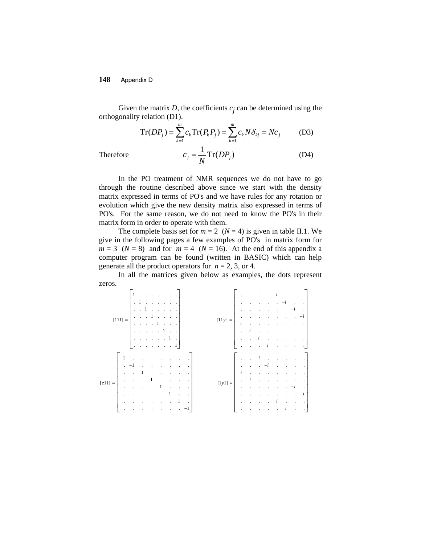Given the matrix  $D$ , the coefficients  $c_j$  can be determined using the orthogonality relation (D1).

$$
Tr(DP_j) = \sum_{k=1}^{m} c_k Tr(P_k P_j) = \sum_{k=1}^{m} c_k N \delta_{kj} = N c_j
$$
 (D3)

Therefore

$$
c_j = \frac{1}{N} \text{Tr}(DP_j) \tag{D4}
$$

In the PO treatment of NMR sequences we do not have to go through the routine described above since we start with the density matrix expressed in terms of PO's and we have rules for any rotation or evolution which give the new density matrix also expressed in terms of PO's. For the same reason, we do not need to know the PO's in their matrix form in order to operate with them.

The complete basis set for  $m = 2$  ( $N = 4$ ) is given in table II.1. We give in the following pages a few examples of PO's in matrix form for  $m = 3$  ( $N = 8$ ) and for  $m = 4$  ( $N = 16$ ). At the end of this appendix a computer program can be found (written in BASIC) which can help generate all the product operators for  $n = 2$ , 3, or 4.

In all the matrices given below as examples, the dots represent zeros.

| $[111] =$ |                                                                                                                                                                                | $1 \cdot 1 \cdot 1 \cdot 1 \cdot 1 \cdot 1 \cdot 1$<br>$\vert \cdot \vert$ 1 $\vert$<br>$\left  \cdot \right $ $\cdot$ $\left  \cdot \right $ |                                        | and the control of the con- |          |                                   |                          | $[11y] =$ | $\cdots$ $\cdots$ $\cdots$ | $\sim 100$ km s $^{-1}$                                                                                                                |               |                                                     |                 |                                                                                                                                                                                                                                                                                                                                                                                                                                                                         |               |  |
|-----------|--------------------------------------------------------------------------------------------------------------------------------------------------------------------------------|-----------------------------------------------------------------------------------------------------------------------------------------------|----------------------------------------|-----------------------------|----------|-----------------------------------|--------------------------|-----------|----------------------------|----------------------------------------------------------------------------------------------------------------------------------------|---------------|-----------------------------------------------------|-----------------|-------------------------------------------------------------------------------------------------------------------------------------------------------------------------------------------------------------------------------------------------------------------------------------------------------------------------------------------------------------------------------------------------------------------------------------------------------------------------|---------------|--|
|           |                                                                                                                                                                                | 1.1.1.1.1.1<br>$\left[ ., ., ., ., ., 1, . \right]$<br>$\left[\begin{array}{ccccccccccccc} . & . & . & . & . & . & . & 1\end{array}\right]$   |                                        |                             | $\cdots$ | $\sim$                            |                          |           | $\mathbf{1}$               | $\mathbf{i}$                                                                                                                           | $\mathcal{L}$ | ÷.                                                  | and the control |                                                                                                                                                                                                                                                                                                                                                                                                                                                                         |               |  |
| $[z11] =$ | $\begin{vmatrix} 1 & 1 & 1 \end{vmatrix}$<br>$\vert \cdot \vert$ $\vert$ $\vert$ $\vert$<br>$\begin{bmatrix} 1 & 1 & 1 \end{bmatrix}$<br>$\mathbf{1}$ .<br>handi a shekarar 19 | $\sim 10^{-11}$                                                                                                                               | 1<br>$\sim$ $\sim$<br>$\sim$ 100 $\mu$ |                             | $\cdot$  | $\sim 10^{-11}$ .<br>$\mathbf{1}$ | $\overline{\phantom{a}}$ | $[1y1] =$ | $\sim$<br>$i$ .<br>$\sim$  | $\sim$<br>$\begin{array}{ccc} i & . & . & . \\ . & . & . & . \end{array}$<br>$\mathcal{L}^{\text{max}}$ and $\mathcal{L}^{\text{max}}$ |               | $\ddot{\phantom{0}}$<br>$\sim$ $\sim$<br>$\ddot{i}$ | $\sim 10$       | $\mathbb{E}[\mathbb{E}[\mathbb{E}[\mathbb{E}[\mathbb{E}[\mathbb{E}[\mathbb{E}[\mathbb{E}[\mathbb{E}[\mathbb{E}[\mathbb{E}[\mathbb{E}[\mathbb{E}[\mathbb{E}[\mathbb{E}[\mathbb{E}[\mathbb{E}[\mathbb{E}[\mathbb{E}[\mathbb{E}[\mathbb{E}[\mathbb{E}[\mathbb{E}[\mathbb{E}[\mathbb{E}[\mathbb{E}[\mathbb{E}[\mathbb{E}[\mathbb{E}[\mathbb{E}[\mathbb{E}[\mathbb{E}[\mathbb{E}[\mathbb{E}[\mathbb{E}[\mathbb{E}[\mathbb{$<br>$\mathbf{z} = \mathbf{z} - \mathbf{z}$<br>$i$ | $\sim$ $\sim$ |  |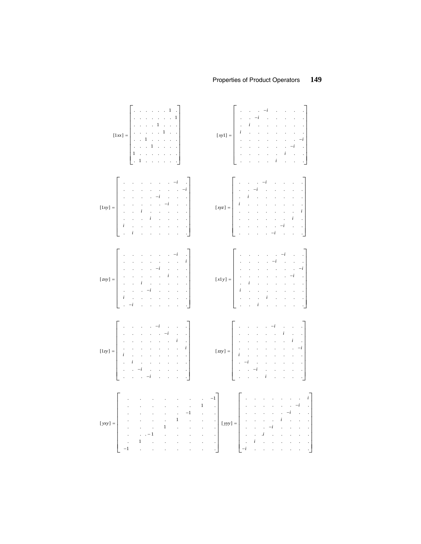### Properties of Product Operators



149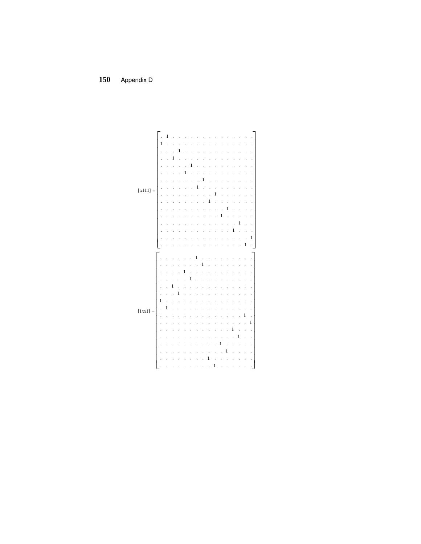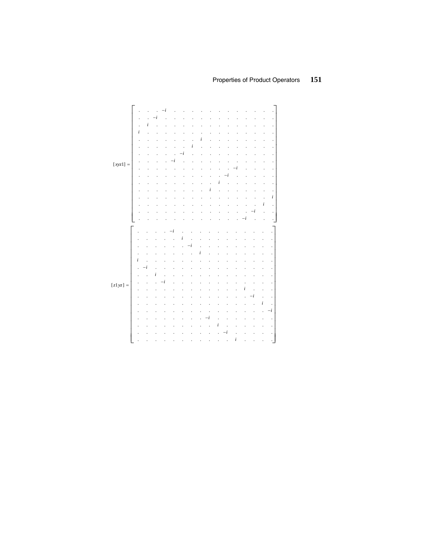# Properties of Product Operators 151

|            |           |   | ı |  |   |   |   |  |   |   |   |           |
|------------|-----------|---|---|--|---|---|---|--|---|---|---|-----------|
|            |           | i |   |  |   |   |   |  |   |   |   |           |
|            | $\dot{i}$ |   |   |  |   |   |   |  |   |   |   |           |
|            |           |   |   |  |   |   |   |  |   |   |   | í         |
|            |           |   |   |  |   | ı |   |  |   |   |   |           |
|            |           |   |   |  | i |   |   |  |   |   |   |           |
|            |           |   |   |  |   |   |   |  |   |   |   |           |
|            |           |   |   |  |   |   |   |  |   |   |   |           |
| $[xyz1] =$ |           |   |   |  |   |   |   |  |   |   |   |           |
|            |           |   |   |  |   |   |   |  |   |   |   |           |
|            |           |   |   |  |   |   |   |  |   |   |   |           |
|            |           |   |   |  |   |   |   |  |   |   |   |           |
|            |           |   |   |  |   |   |   |  |   |   |   |           |
|            |           |   |   |  |   |   |   |  |   |   |   | $\dot{i}$ |
|            |           |   |   |  |   |   |   |  |   |   | i |           |
|            |           |   |   |  |   |   |   |  |   | i |   | ï         |
|            |           |   |   |  |   |   |   |  | i |   |   |           |
|            |           |   |   |  |   |   |   |  |   |   |   |           |
|            |           |   |   |  |   |   |   |  |   |   |   |           |
|            |           |   |   |  |   |   |   |  |   |   |   |           |
|            |           |   |   |  |   |   |   |  |   |   |   |           |
|            |           |   |   |  |   |   |   |  |   |   |   |           |
|            |           |   |   |  |   |   |   |  |   |   |   |           |
|            |           |   |   |  |   | Ī |   |  |   |   |   |           |
|            |           |   |   |  |   |   |   |  |   |   |   |           |
|            | $\it i$   |   |   |  |   |   |   |  |   |   |   |           |
|            |           |   |   |  |   |   |   |  |   |   |   |           |
|            |           |   | ı |  |   |   |   |  |   |   |   |           |
|            |           |   |   |  |   |   |   |  |   |   |   |           |
| $[z1yz] =$ |           |   |   |  |   |   |   |  | I |   |   |           |
|            |           |   |   |  |   |   |   |  |   |   |   |           |
|            |           |   |   |  |   |   |   |  |   |   |   |           |
|            |           |   |   |  |   |   |   |  |   |   | i |           |
|            |           |   |   |  |   |   |   |  |   |   |   | i         |
|            |           |   |   |  |   |   |   |  |   |   |   |           |
|            |           |   |   |  |   |   | i |  |   |   |   |           |
|            |           |   |   |  |   |   |   |  |   |   |   |           |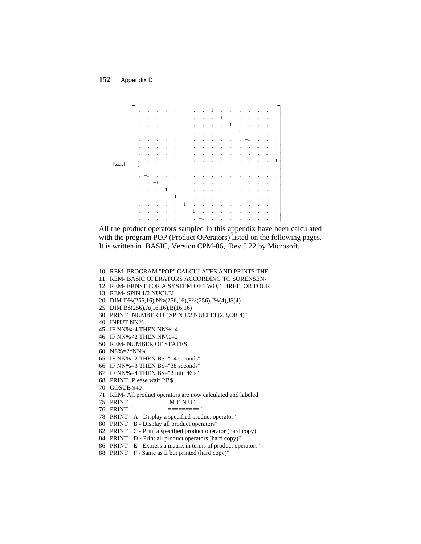

All the product operators sampled in this appendix have been calculated with the program POP (Product OPerators) listed on the following pages. It is written in BASIC, Version CPM-86, Rev.5.22 by Microsoft.

- 10 REM-PROGRAM "POP" CALCULATES AND PRINTS THE
- 11 REM-BASIC OPERATORS ACCORDING TO SORENSEN-
- 12 REM-ERNST FOR A SYSTEM OF TWO, THREE, OR FOUR
- 13 REM- SPIN 1/2 NUCLEI
- 20 DIM D%(256,16), N%(256,16), F%(256), J%(4), J\$(4)
- 25 DIM B\$(256), A(16, 16), B(16, 16)
- 30 PRINT "NUMBER OF SPIN 1/2 NUCLEI (2,3,OR 4)"
- 40 INPUT NN%
- 45 IF NN%>4 THEN NN%=4
- 46 IF NN%<2 THEN NN%=2
- 50 REM-NUMBER OF STATES
- 60 NS%=2^NN%
- 65 IF NN%=2 THEN B\$="14 seconds"
- 66 IF NN%=3 THEN B\$="38 seconds"
- 67 IF NN%=4 THEN B\$="2 min 46 s"
- 68 PRINT "Please wait ";B\$
- 70 GOSUB 940
- 71 REM-All product operators are now calculated and labeled
- 75 PRINT" MENU"
- 76 PRINT"
- 78 PRINT " A Display a specified product operator"
- 80 PRINT " B Display all product operators"
- 82 PRINT " C Print a specified product operator (hard copy)"
- 84 PRINT " D Print all product operators (hard copy)"
- 86 PRINT " E Express a matrix in terms of product operators"
- 88 PRINT "F Same as E but printed (hard copy)"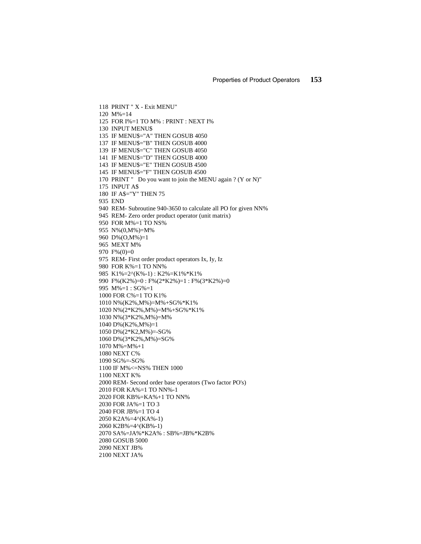118 PRINT " X - Exit MENU" 120 M%=14 125 FOR I%=1 TO M% : PRINT : NEXT I% 130 INPUT MENU\$ 135 IF MENU\$="A" THEN GOSUB 4050 137 IF MENU\$="B" THEN GOSUB 4000 139 IF MENU\$="C" THEN GOSUB 4050 141 IF MENU\$="D" THEN GOSUB 4000 143 IF MENU\$="E" THEN GOSUB 4500 145 IF MENU\$="F" THEN GOSUB 4500 170 PRINT " Do you want to join the MENU again ? (Y or N)" 175 INPUT A\$ 180 IF A\$="Y" THEN 75 935 END 940 REM- Subroutine 940-3650 to calculate all PO for given NN% 945 REM- Zero order product operator (unit matrix) 950 FOR M%=1 TO NS% 955 N%(0,M%)=M% 960 D%(O,M%)=1 965 MEXT M% 970 F%(0)=0 975 REM- First order product operators Ix, Iy, Iz 980 FOR K%=1 TO NN% 985 K1%=2^(K%-1) : K2%=K1%\*K1% 990 F%(K2%)=0 : F%(2\*K2%)=1 : F%(3\*K2%)=0 995  $M\% = 1 : SG\% = 1$ 1000 FOR C%=1 TO K1% 1010 N%(K2%,M%)=M%+SG%\*K1% 1020 N%(2\*K2%,M%)=M%+SG%\*K1% 1030 N%(3\*K2%,M%)=M% 1040 D%(K2%,M%)=1 1050 D%(2\*K2,M%)=-SG% 1060 D%(3\*K2%,M%)=SG% 1070 M%=M%+1 1080 NEXT C% 1090 SG%=-SG% 1100 IF M%<=NS% THEN 1000 1100 NEXT K% 2000 REM- Second order base operators (Two factor PO's) 2010 FOR KA%=1 TO NN%-1 2020 FOR KB%=KA%+1 TO NN% 2030 FOR JA%=1 TO 3 2040 FOR JB%=1 TO 4 2050 K2A%=4^(KA%-1) 2060 K2B%=4^(KB%-1) 2070 SA%=JA%\*K2A% : SB%=JB%\*K2B% 2080 GOSUB 5000 2090 NEXT JB% 2100 NEXT JA%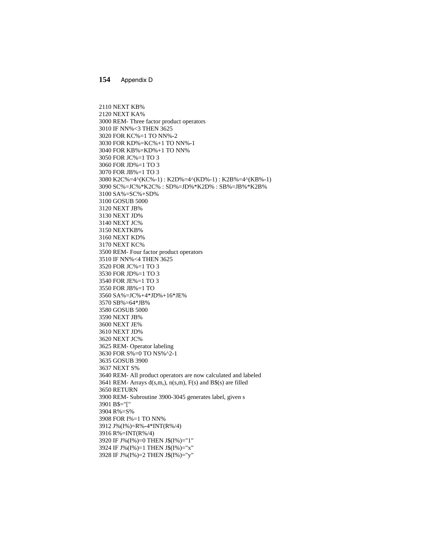2110 NEXT KB% 2120 NEXT KA% 3000 REM- Three factor product operators 3010 IF NN%<3 THEN 3625 3020 FOR KC%=1 TO NN%-2 3030 FOR KD%=KC%+1 TO NN%-1 3040 FOR KB%=KD%+1 TO NN% 3050 FOR JC%=1 TO 3 3060 FOR JD%=1 TO 3 3070 FOR JB%=1 TO 3 3080 K2C%=4^(KC%-1) : K2D%=4^(KD%-1) : K2B%=4^(KB%-1) 3090 SC%=JC%\*K2C% : SD%=JD%\*K2D% : SB%=JB%\*K2B% 3100 SA%=SC%+SD% 3100 GOSUB 5000 3120 NEXT JB% 3130 NEXT JD% 3140 NEXT JC% 3150 NEXTKB% 3160 NEXT KD% 3170 NEXT KC% 3500 REM- Four factor product operators 3510 IF NN%<4 THEN 3625 3520 FOR JC%=1 TO 3 3530 FOR JD%=1 TO 3 3540 FOR JE%=1 TO 3 3550 FOR JB%=1 TO 3560 SA%=JC%+4\*JD%+16\*JE% 3570 SB%=64\*JB% 3580 GOSUB 5000 3590 NEXT JB% 3600 NEXT JE% 3610 NEXT JD% 3620 NEXT JC% 3625 REM- Operator labeling 3630 FOR S%=0 TO NS%^2-1 3635 GOSUB 3900 3637 NEXT S% 3640 REM- All product operators are now calculated and labeled 3641 REM- Arrays d(s,m,), n(s,m), F(s) and B\$(s) are filled 3650 RETURN 3900 REM- Subroutine 3900-3045 generates label, given s 3901 B\$="[" 3904 R%=S% 3908 FOR I%=1 TO NN% 3912 J%(I%)=R%-4\*INT(R%/4) 3916 R%=INT(R%/4) 3920 IF J%(I%)=0 THEN J\$(I%)="1" 3924 IF J%(I%)=1 THEN J\$(I%)="x" 3928 IF J%(I%)=2 THEN J\$(I%)="y"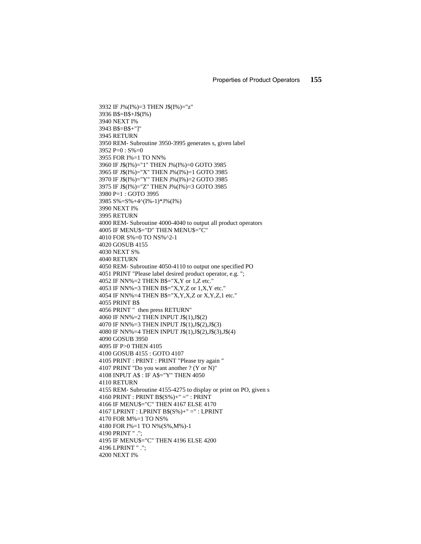3932 IF J%(I%)=3 THEN J\$(I%)="z" 3936 B\$=B\$+J\$(I%) 3940 NEXT I% 3943 B\$=B\$+"]" 3945 RETURN 3950 REM- Subroutine 3950-3995 generates s, given label 3952 P=0 : S%=0 3955 FOR I%=1 TO NN% 3960 IF J\$(I%)="1" THEN J%(I%)=0 GOTO 3985 3965 IF J\$(I%)="X" THEN J%(I%)=1 GOTO 3985 3970 IF J\$(I%)="Y" THEN J%(I%)=2 GOTO 3985 3975 IF J\$(I%)="Z" THEN J%(I%)=3 GOTO 3985 3980 P=1 : GOTO 3995 3985 S%=S%+4^(I%-1)\*J%(I%) 3990 NEXT I% 3995 RETURN 4000 REM- Subroutine 4000-4040 to output all product operators 4005 IF MENU\$="D" THEN MENU\$="C" 4010 FOR S%=0 TO NS%^2-1 4020 GOSUB 4155 4030 NEXT S% 4040 RETURN 4050 REM- Subroutine 4050-4110 to output one specified PO 4051 PRINT "Please label desired product operator, e.g. "; 4052 IF NN%=2 THEN B\$="X,Y or 1,Z etc." 4053 IF NN%=3 THEN B\$="X,Y,Z or 1,X,Y etc." 4054 IF NN%=4 THEN B\$="X,Y,X,Z or X,Y,Z,1 etc." 4055 PRINT B\$ 4056 PRINT " then press RETURN" 4060 IF NN%=2 THEN INPUT J\$(1),J\$(2) 4070 IF NN%=3 THEN INPUT J\$(1),J\$(2),J\$(3) 4080 IF NN%=4 THEN INPUT J\$(1),J\$(2),J\$(3),J\$(4) 4090 GOSUB 3950 4095 IF P>0 THEN 4105 4100 GOSUB 4155 : GOTO 4107 4105 PRINT : PRINT : PRINT "Please try again " 4107 PRINT "Do you want another ? (Y or N)" 4108 INPUT A\$ : IF A\$="Y" THEN 4050 4110 RETURN 4155 REM- Subroutine 4155-4275 to display or print on PO, given s 4160 PRINT : PRINT B\$(S%)+" =" : PRINT 4166 IF MENU\$="C" THEN 4167 ELSE 4170 4167 LPRINT : LPRINT B\$(S%)+" =" : LPRINT 4170 FOR M%=1 TO NS% 4180 FOR I%=1 TO N%(S%,M%)-1 4190 PRINT " ."; 4195 IF MENU\$="C" THEN 4196 ELSE 4200 4196 LPRINT " ."; 4200 NEXT I%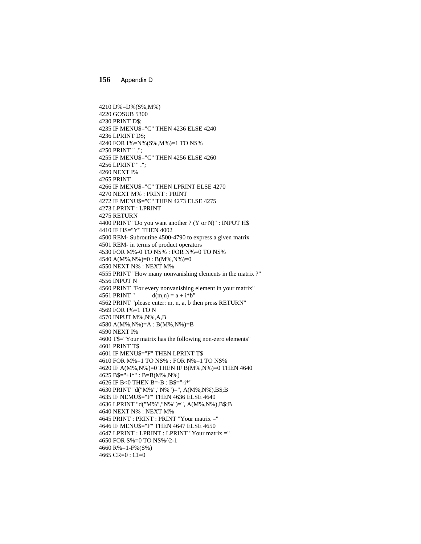4210 D%=D%(S%,M%) 4220 GOSUB 5300 4230 PRINT D\$; 4235 IF MENU\$="C" THEN 4236 ELSE 4240 4236 LPRINT D\$; 4240 FOR I%=N%(S%,M%)=1 TO NS% 4250 PRINT " ."; 4255 IF MENU\$="C" THEN 4256 ELSE 4260 4256 LPRINT " ."; 4260 NEXT I% 4265 PRINT 4266 IF MENU\$="C" THEN LPRINT ELSE 4270 4270 NEXT M% : PRINT : PRINT 4272 IF MENU\$="C" THEN 4273 ELSE 4275 4273 LPRINT : LPRINT 4275 RETURN 4400 PRINT "Do you want another ? (Y or N)" : INPUT H\$ 4410 IF H\$="Y" THEN 4002 4500 REM- Subroutine 4500-4790 to express a given matrix 4501 REM- in terms of product operators 4530 FOR M%-0 TO NS% : FOR N%=0 TO NS% 4540 A(M%,N%)=0 : B(M%,N%)=0 4550 NEXT N% : NEXT M% 4555 PRINT "How many nonvanishing elements in the matrix ?" 4556 INPUT N 4560 PRINT "For every nonvanishing element in your matrix" 4561 PRINT "  $d(m,n) = a + i * b$ " 4562 PRINT "please enter: m, n, a, b then press RETURN" 4569 FOR I%=1 TO N 4570 INPUT M%,N%,A,B 4580 A(M%,N%)=A : B(M%,N%)=B 4590 NEXT I% 4600 T\$="Your matrix has the following non-zero elements" 4601 PRINT T\$ 4601 IF MENU\$="F" THEN LPRINT T\$ 4610 FOR M%=1 TO NS% : FOR N%=1 TO NS% 4620 IF A(M%,N%)=0 THEN IF B(M%,N%)=0 THEN 4640  $4625 B\$ ="+i\*" : B=B(M%,N%) 4626 IF B<0 THEN B=-B : B\$="-i\*" 4630 PRINT "d("M%","N%")=", A(M%,N%),B\$;B 4635 IF NEMU\$="F" THEN 4636 ELSE 4640 4636 LPRINT "d("M%","N%")=", A(M%,N%),B\$;B 4640 NEXT N% : NEXT M% 4645 PRINT : PRINT : PRINT "Your matrix =" 4646 IF MENU\$="F" THEN 4647 ELSE 4650 4647 LPRINT : LPRINT : LPRINT "Your matrix =" 4650 FOR S%=0 TO NS%^2-1 4660 R%=1-F%(S%) 4665  $CR=0$ :  $CI=0$